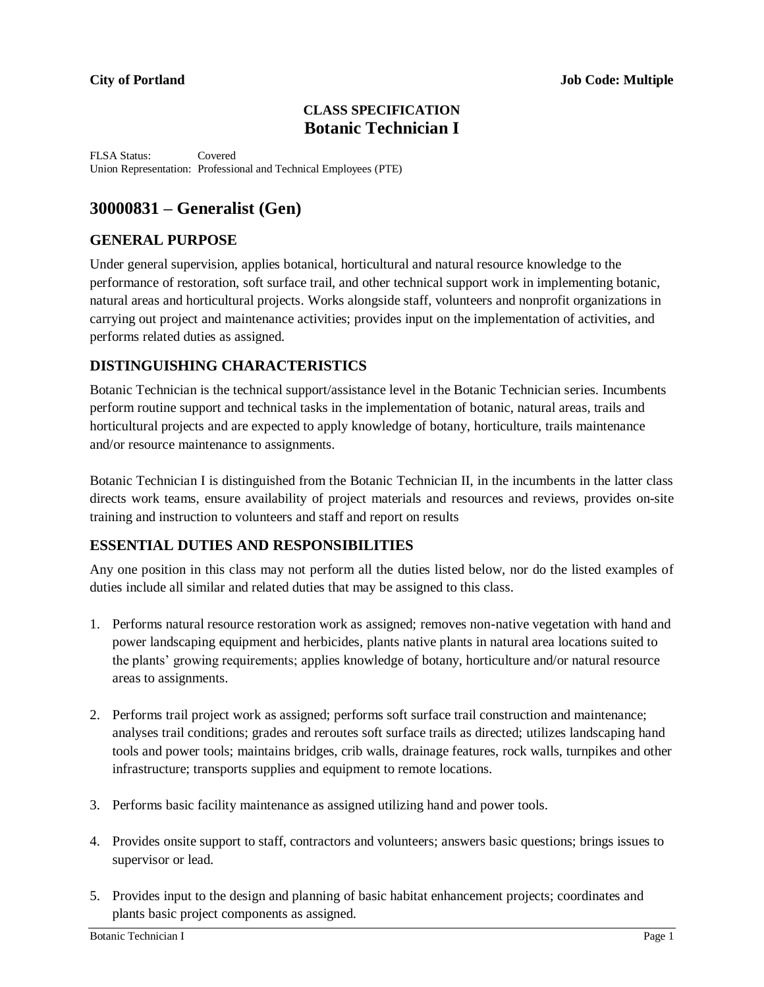# **CLASS SPECIFICATION Botanic Technician I**

FLSA Status: Covered Union Representation: Professional and Technical Employees (PTE)

# **30000831 – Generalist (Gen)**

# **GENERAL PURPOSE**

Under general supervision, applies botanical, horticultural and natural resource knowledge to the performance of restoration, soft surface trail, and other technical support work in implementing botanic, natural areas and horticultural projects. Works alongside staff, volunteers and nonprofit organizations in carrying out project and maintenance activities; provides input on the implementation of activities, and performs related duties as assigned.

# **DISTINGUISHING CHARACTERISTICS**

Botanic Technician is the technical support/assistance level in the Botanic Technician series. Incumbents perform routine support and technical tasks in the implementation of botanic, natural areas, trails and horticultural projects and are expected to apply knowledge of botany, horticulture, trails maintenance and/or resource maintenance to assignments.

Botanic Technician I is distinguished from the Botanic Technician II, in the incumbents in the latter class directs work teams, ensure availability of project materials and resources and reviews, provides on-site training and instruction to volunteers and staff and report on results

# **ESSENTIAL DUTIES AND RESPONSIBILITIES**

Any one position in this class may not perform all the duties listed below, nor do the listed examples of duties include all similar and related duties that may be assigned to this class.

- 1. Performs natural resource restoration work as assigned; removes non-native vegetation with hand and power landscaping equipment and herbicides, plants native plants in natural area locations suited to the plants' growing requirements; applies knowledge of botany, horticulture and/or natural resource areas to assignments.
- 2. Performs trail project work as assigned; performs soft surface trail construction and maintenance; analyses trail conditions; grades and reroutes soft surface trails as directed; utilizes landscaping hand tools and power tools; maintains bridges, crib walls, drainage features, rock walls, turnpikes and other infrastructure; transports supplies and equipment to remote locations.
- 3. Performs basic facility maintenance as assigned utilizing hand and power tools.
- 4. Provides onsite support to staff, contractors and volunteers; answers basic questions; brings issues to supervisor or lead.
- 5. Provides input to the design and planning of basic habitat enhancement projects; coordinates and plants basic project components as assigned.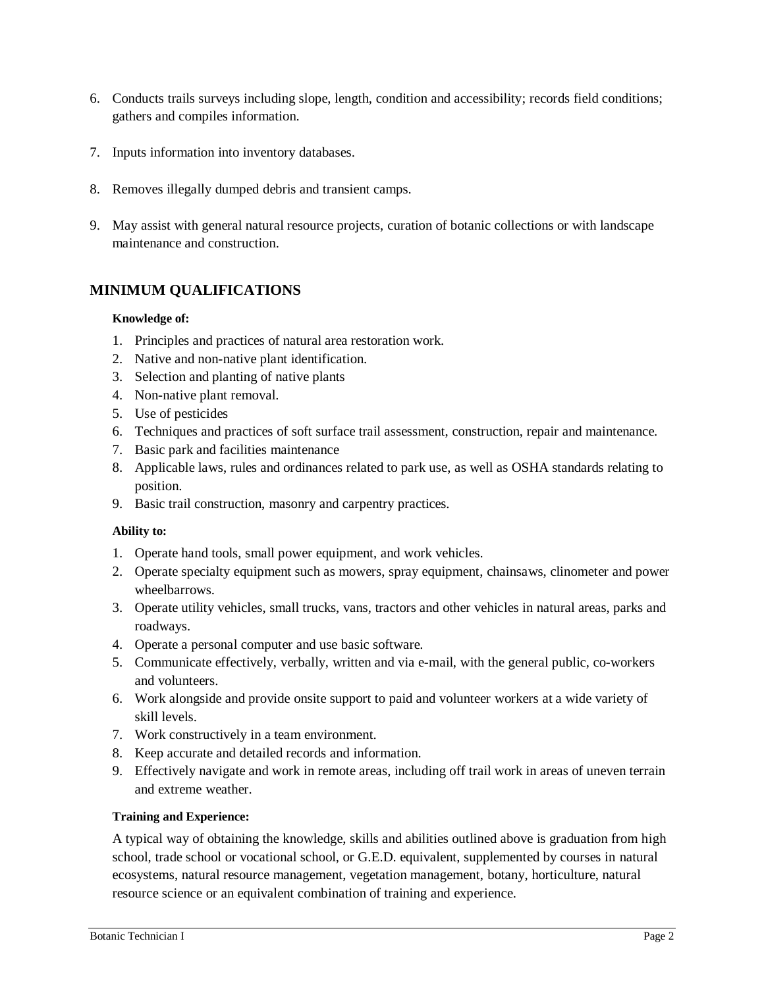- 6. Conducts trails surveys including slope, length, condition and accessibility; records field conditions; gathers and compiles information.
- 7. Inputs information into inventory databases.
- 8. Removes illegally dumped debris and transient camps.
- 9. May assist with general natural resource projects, curation of botanic collections or with landscape maintenance and construction.

## **MINIMUM QUALIFICATIONS**

#### **Knowledge of:**

- 1. Principles and practices of natural area restoration work.
- 2. Native and non-native plant identification.
- 3. Selection and planting of native plants
- 4. Non-native plant removal.
- 5. Use of pesticides
- 6. Techniques and practices of soft surface trail assessment, construction, repair and maintenance.
- 7. Basic park and facilities maintenance
- 8. Applicable laws, rules and ordinances related to park use, as well as OSHA standards relating to position.
- 9. Basic trail construction, masonry and carpentry practices.

#### **Ability to:**

- 1. Operate hand tools, small power equipment, and work vehicles.
- 2. Operate specialty equipment such as mowers, spray equipment, chainsaws, clinometer and power wheelbarrows.
- 3. Operate utility vehicles, small trucks, vans, tractors and other vehicles in natural areas, parks and roadways.
- 4. Operate a personal computer and use basic software.
- 5. Communicate effectively, verbally, written and via e-mail, with the general public, co-workers and volunteers.
- 6. Work alongside and provide onsite support to paid and volunteer workers at a wide variety of skill levels.
- 7. Work constructively in a team environment.
- 8. Keep accurate and detailed records and information.
- 9. Effectively navigate and work in remote areas, including off trail work in areas of uneven terrain and extreme weather.

#### **Training and Experience:**

A typical way of obtaining the knowledge, skills and abilities outlined above is graduation from high school, trade school or vocational school, or G.E.D. equivalent, supplemented by courses in natural ecosystems, natural resource management, vegetation management, botany, horticulture, natural resource science or an equivalent combination of training and experience.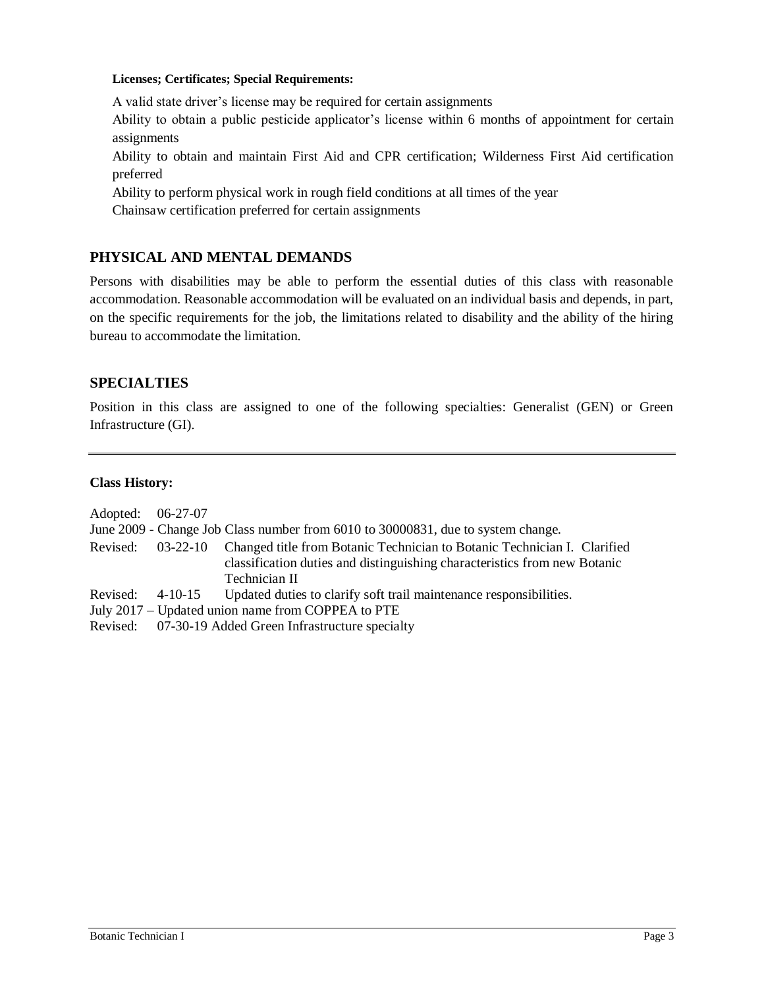#### **Licenses; Certificates; Special Requirements:**

A valid state driver's license may be required for certain assignments

Ability to obtain a public pesticide applicator's license within 6 months of appointment for certain assignments

Ability to obtain and maintain First Aid and CPR certification; Wilderness First Aid certification preferred

Ability to perform physical work in rough field conditions at all times of the year

Chainsaw certification preferred for certain assignments

# **PHYSICAL AND MENTAL DEMANDS**

Persons with disabilities may be able to perform the essential duties of this class with reasonable accommodation. Reasonable accommodation will be evaluated on an individual basis and depends, in part, on the specific requirements for the job, the limitations related to disability and the ability of the hiring bureau to accommodate the limitation.

## **SPECIALTIES**

Position in this class are assigned to one of the following specialties: Generalist (GEN) or Green Infrastructure (GI).

#### **Class History:**

| Adopted: 06-27-07                                 |                |                                                                                                                                                                        |
|---------------------------------------------------|----------------|------------------------------------------------------------------------------------------------------------------------------------------------------------------------|
|                                                   |                | June 2009 - Change Job Class number from 6010 to 30000831, due to system change.                                                                                       |
| Revised:                                          | $03 - 22 - 10$ | Changed title from Botanic Technician to Botanic Technician I. Clarified<br>classification duties and distinguishing characteristics from new Botanic<br>Technician II |
| Revised: 4-10-15                                  |                | Updated duties to clarify soft trail maintenance responsibilities.                                                                                                     |
| July 2017 – Updated union name from COPPEA to PTE |                |                                                                                                                                                                        |
|                                                   |                | Revised: 07-30-19 Added Green Infrastructure specialty                                                                                                                 |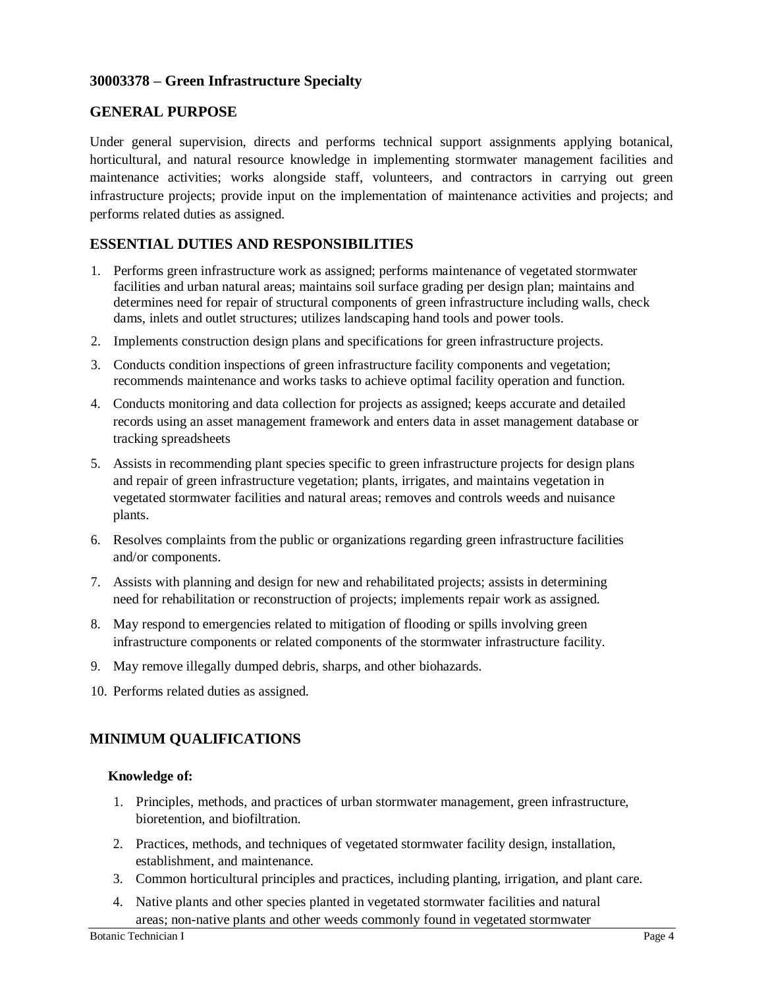## **30003378 – Green Infrastructure Specialty**

## **GENERAL PURPOSE**

Under general supervision, directs and performs technical support assignments applying botanical, horticultural, and natural resource knowledge in implementing stormwater management facilities and maintenance activities; works alongside staff, volunteers, and contractors in carrying out green infrastructure projects; provide input on the implementation of maintenance activities and projects; and performs related duties as assigned.

## **ESSENTIAL DUTIES AND RESPONSIBILITIES**

- 1. Performs green infrastructure work as assigned; performs maintenance of vegetated stormwater facilities and urban natural areas; maintains soil surface grading per design plan; maintains and determines need for repair of structural components of green infrastructure including walls, check dams, inlets and outlet structures; utilizes landscaping hand tools and power tools.
- 2. Implements construction design plans and specifications for green infrastructure projects.
- 3. Conducts condition inspections of green infrastructure facility components and vegetation; recommends maintenance and works tasks to achieve optimal facility operation and function.
- 4. Conducts monitoring and data collection for projects as assigned; keeps accurate and detailed records using an asset management framework and enters data in asset management database or tracking spreadsheets
- 5. Assists in recommending plant species specific to green infrastructure projects for design plans and repair of green infrastructure vegetation; plants, irrigates, and maintains vegetation in vegetated stormwater facilities and natural areas; removes and controls weeds and nuisance plants.
- 6. Resolves complaints from the public or organizations regarding green infrastructure facilities and/or components.
- 7. Assists with planning and design for new and rehabilitated projects; assists in determining need for rehabilitation or reconstruction of projects; implements repair work as assigned.
- 8. May respond to emergencies related to mitigation of flooding or spills involving green infrastructure components or related components of the stormwater infrastructure facility.
- 9. May remove illegally dumped debris, sharps, and other biohazards.
- 10. Performs related duties as assigned.

## **MINIMUM QUALIFICATIONS**

#### **Knowledge of:**

- 1. Principles, methods, and practices of urban stormwater management, green infrastructure, bioretention, and biofiltration.
- 2. Practices, methods, and techniques of vegetated stormwater facility design, installation, establishment, and maintenance.
- 3. Common horticultural principles and practices, including planting, irrigation, and plant care.
- 4. Native plants and other species planted in vegetated stormwater facilities and natural areas; non-native plants and other weeds commonly found in vegetated stormwater